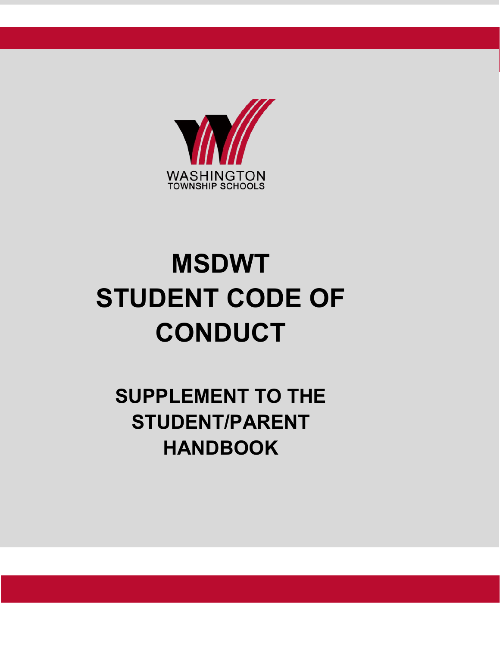

# **MSDWT STUDENT CODE OF CONDUCT**

**SUPPLEMENT TO THE STUDENT/PARENT HANDBOOK**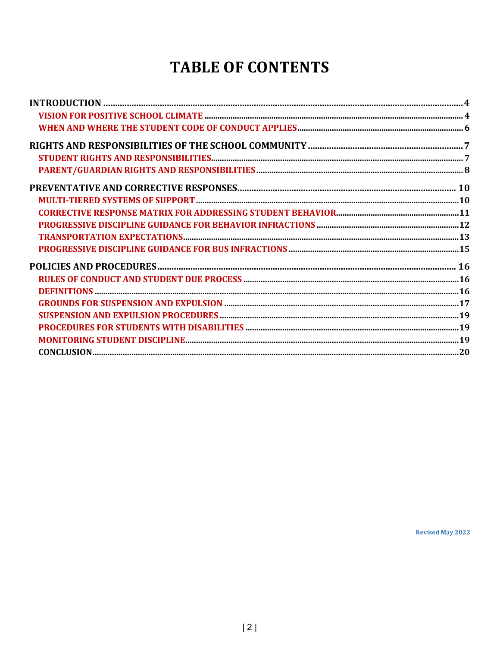# **TABLE OF CONTENTS**

**Revised May 2022**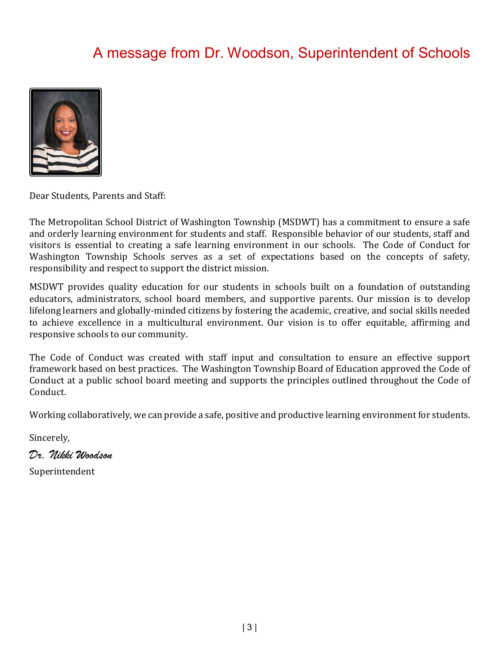# A message from Dr. Woodson, Superintendent of Schools



Dear Students, Parents and Staff:

The Metropolitan School District of Washington Township (MSDWT) has a commitment to ensure a safe and orderly learning environment for students and staff. Responsible behavior of our students, staff and visitors is essential to creating a safe learning environment in our schools. The Code of Conduct for Washington Township Schools serves as a set of expectations based on the concepts of safety, responsibility and respect to support the district mission.

MSDWT provides quality education for our students in schools built on a foundation of outstanding educators, administrators, school board members, and supportive parents. Our mission is to develop lifelong learners and globally-minded citizens by fostering the academic, creative, and social skills needed to achieve excellence in a multicultural environment. Our vision is to offer equitable, affirming and responsive schools to our community.

The Code of Conduct was created with staff input and consultation to ensure an effective support framework based on best practices. The Washington Township Board of Education approved the Code of Conduct at a public school board meeting and supports the principles outlined throughout the Code of Conduct.

Working collaboratively, we can provide a safe, positive and productive learning environment for students.

Sincerely,

*Dr. Nikki Woodson*

Superintendent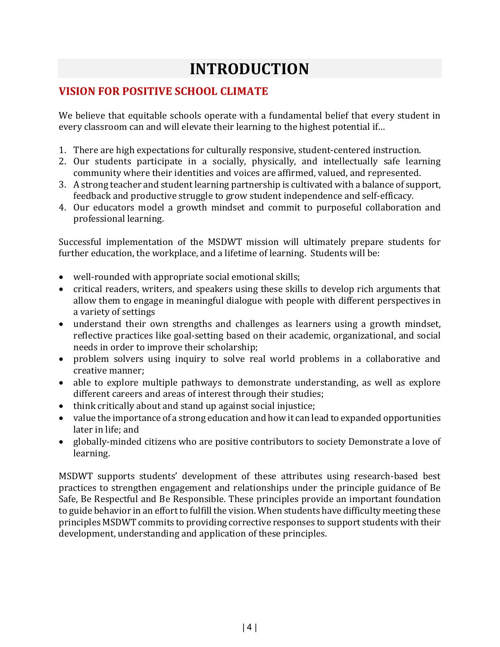# **INTRODUCTION**

### **VISION FOR POSITIVE SCHOOL CLIMATE**

We believe that equitable schools operate with a fundamental belief that every student in every classroom can and will elevate their learning to the highest potential if…

- 1. There are high expectations for culturally responsive, student-centered instruction.
- 2. Our students participate in a socially, physically, and intellectually safe learning community where their identities and voices are affirmed, valued, and represented.
- 3. A strong teacher and student learning partnership is cultivated with a balance of support, feedback and productive struggle to grow student independence and self-efficacy.
- 4. Our educators model a growth mindset and commit to purposeful collaboration and professional learning.

Successful implementation of the MSDWT mission will ultimately prepare students for further education, the workplace, and a lifetime of learning. Students will be:

- well-rounded with appropriate social emotional skills;
- critical readers, writers, and speakers using these skills to develop rich arguments that allow them to engage in meaningful dialogue with people with different perspectives in a variety of settings
- understand their own strengths and challenges as learners using a growth mindset, reflective practices like goal-setting based on their academic, organizational, and social needs in order to improve their scholarship;
- problem solvers using inquiry to solve real world problems in a collaborative and creative manner;
- able to explore multiple pathways to demonstrate understanding, as well as explore different careers and areas of interest through their studies;
- think critically about and stand up against social injustice;
- value the importance of a strong education and how it can lead to expanded opportunities later in life; and
- globally-minded citizens who are positive contributors to society Demonstrate a love of learning.

MSDWT supports students' development of these attributes using research-based best practices to strengthen engagement and relationships under the principle guidance of Be Safe, Be Respectful and Be Responsible. These principles provide an important foundation to guide behavior in an effort to fulfill the vision. When students have difficulty meeting these principles MSDWT commits to providing corrective responses to support students with their development, understanding and application of these principles.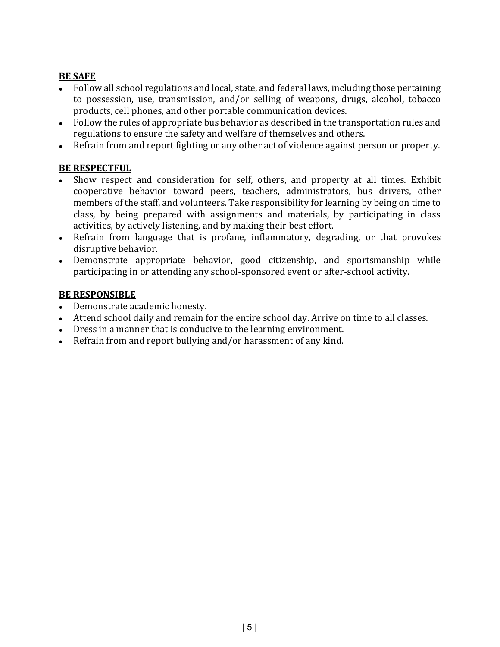#### **BE SAFE**

- Follow all school regulations and local, state, and federal laws, including those pertaining to possession, use, transmission, and/or selling of weapons, drugs, alcohol, tobacco products, cell phones, and other portable communication devices.
- Follow the rules of appropriate bus behavior as described in the transportation rules and regulations to ensure the safety and welfare of themselves and others.
- Refrain from and report fighting or any other act of violence against person or property.

#### **BE RESPECTFUL**

- Show respect and consideration for self, others, and property at all times. Exhibit cooperative behavior toward peers, teachers, administrators, bus drivers, other members of the staff, and volunteers. Take responsibility for learning by being on time to class, by being prepared with assignments and materials, by participating in class activities, by actively listening, and by making their best effort.
- Refrain from language that is profane, inflammatory, degrading, or that provokes disruptive behavior.
- Demonstrate appropriate behavior, good citizenship, and sportsmanship while participating in or attending any school-sponsored event or after-school activity.

#### **BE RESPONSIBLE**

- Demonstrate academic honesty.
- Attend school daily and remain for the entire school day. Arrive on time to all classes.
- Dress in a manner that is conducive to the learning environment.
- Refrain from and report bullying and/or harassment of any kind.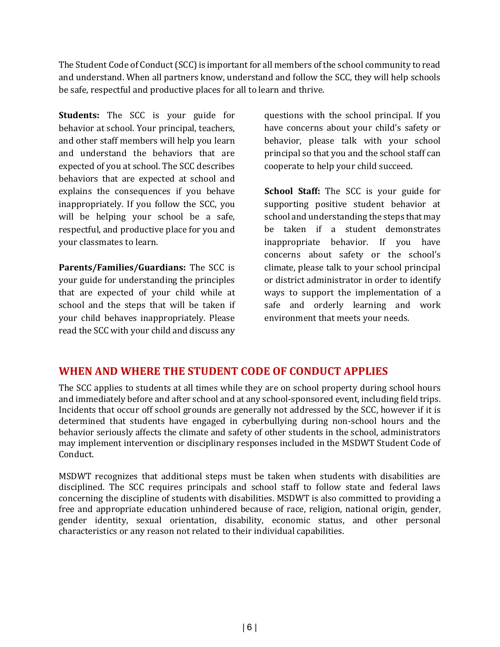The Student Code of Conduct (SCC) is important for all members of the school community to read and understand. When all partners know, understand and follow the SCC, they will help schools be safe, respectful and productive places for all to learn and thrive.

**Students:** The SCC is your guide for behavior at school. Your principal, teachers, and other staff members will help you learn and understand the behaviors that are expected of you at school. The SCC describes behaviors that are expected at school and explains the consequences if you behave inappropriately. If you follow the SCC, you will be helping your school be a safe, respectful, and productive place for you and your classmates to learn.

**Parents/Families/Guardians:** The SCC is your guide for understanding the principles that are expected of your child while at school and the steps that will be taken if your child behaves inappropriately. Please read the SCC with your child and discuss any questions with the school principal. If you have concerns about your child's safety or behavior, please talk with your school principal so that you and the school staff can cooperate to help your child succeed.

**School Staff:** The SCC is your guide for supporting positive student behavior at school and understanding the steps that may be taken if a student demonstrates inappropriate behavior. If you have concerns about safety or the school's climate, please talk to your school principal or district administrator in order to identify ways to support the implementation of a safe and orderly learning and work environment that meets your needs.

#### **WHEN AND WHERE THE STUDENT CODE OF CONDUCT APPLIES**

The SCC applies to students at all times while they are on school property during school hours and immediately before and after school and at any school-sponsored event, including field trips. Incidents that occur off school grounds are generally not addressed by the SCC, however if it is determined that students have engaged in cyberbullying during non-school hours and the behavior seriously affects the climate and safety of other students in the school, administrators may implement intervention or disciplinary responses included in the MSDWT Student Code of Conduct.

MSDWT recognizes that additional steps must be taken when students with disabilities are disciplined. The SCC requires principals and school staff to follow state and federal laws concerning the discipline of students with disabilities. MSDWT is also committed to providing a free and appropriate education unhindered because of race, religion, national origin, gender, gender identity, sexual orientation, disability, economic status, and other personal characteristics or any reason not related to their individual capabilities.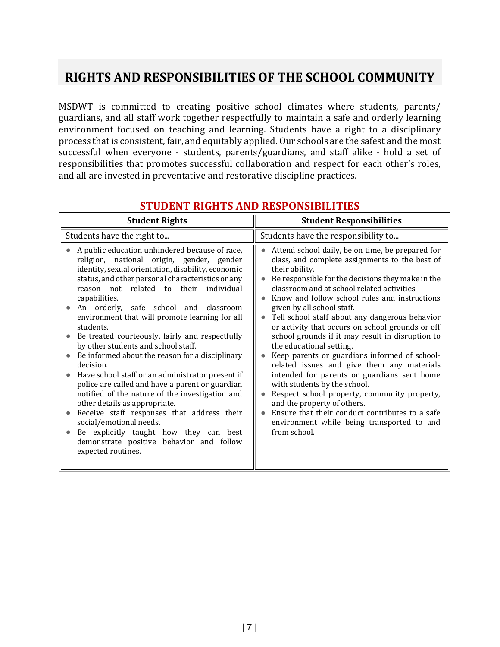# **RIGHTS AND RESPONSIBILITIES OF THE SCHOOL COMMUNITY**

MSDWT is committed to creating positive school climates where students, parents/ guardians, and all staff work together respectfully to maintain a safe and orderly learning environment focused on teaching and learning. Students have a right to a disciplinary process that is consistent, fair, and equitably applied. Our schools are the safest and the most successful when everyone - students, parents/guardians, and staff alike - hold a set of responsibilities that promotes successful collaboration and respect for each other's roles, and all are invested in preventative and restorative discipline practices.

| <b>Student Rights</b>                                                                                                                                                                                                                                                                                                                                                                                                                                                                                                                                                                                                                                                                                                                                                                                                                                                                                                     | <b>Student Responsibilities</b>                                                                                                                                                                                                                                                                                                                                                                                                                                                                                                                                                                                                                                                                                                                                                                                                                                             |
|---------------------------------------------------------------------------------------------------------------------------------------------------------------------------------------------------------------------------------------------------------------------------------------------------------------------------------------------------------------------------------------------------------------------------------------------------------------------------------------------------------------------------------------------------------------------------------------------------------------------------------------------------------------------------------------------------------------------------------------------------------------------------------------------------------------------------------------------------------------------------------------------------------------------------|-----------------------------------------------------------------------------------------------------------------------------------------------------------------------------------------------------------------------------------------------------------------------------------------------------------------------------------------------------------------------------------------------------------------------------------------------------------------------------------------------------------------------------------------------------------------------------------------------------------------------------------------------------------------------------------------------------------------------------------------------------------------------------------------------------------------------------------------------------------------------------|
| Students have the right to                                                                                                                                                                                                                                                                                                                                                                                                                                                                                                                                                                                                                                                                                                                                                                                                                                                                                                | Students have the responsibility to                                                                                                                                                                                                                                                                                                                                                                                                                                                                                                                                                                                                                                                                                                                                                                                                                                         |
| A public education unhindered because of race,<br>religion, national origin, gender, gender<br>identity, sexual orientation, disability, economic<br>status, and other personal characteristics or any<br>reason not related to their<br>individual<br>capabilities.<br>An orderly,<br>safe school and classroom<br>environment that will promote learning for all<br>students.<br>Be treated courteously, fairly and respectfully<br>by other students and school staff.<br>Be informed about the reason for a disciplinary<br>decision.<br>Have school staff or an administrator present if<br>police are called and have a parent or guardian<br>notified of the nature of the investigation and<br>other details as appropriate.<br>Receive staff responses that address their<br>social/emotional needs.<br>Be explicitly taught how they can best<br>demonstrate positive behavior and follow<br>expected routines. | Attend school daily, be on time, be prepared for<br>class, and complete assignments to the best of<br>their ability.<br>Be responsible for the decisions they make in the<br>classroom and at school related activities.<br>Know and follow school rules and instructions<br>given by all school staff.<br>Tell school staff about any dangerous behavior<br>or activity that occurs on school grounds or off<br>school grounds if it may result in disruption to<br>the educational setting.<br>Keep parents or guardians informed of school-<br>related issues and give them any materials<br>intended for parents or guardians sent home<br>with students by the school.<br>Respect school property, community property,<br>and the property of others.<br>Ensure that their conduct contributes to a safe<br>environment while being transported to and<br>from school. |

#### **STUDENT RIGHTS AND RESPONSIBILITIES**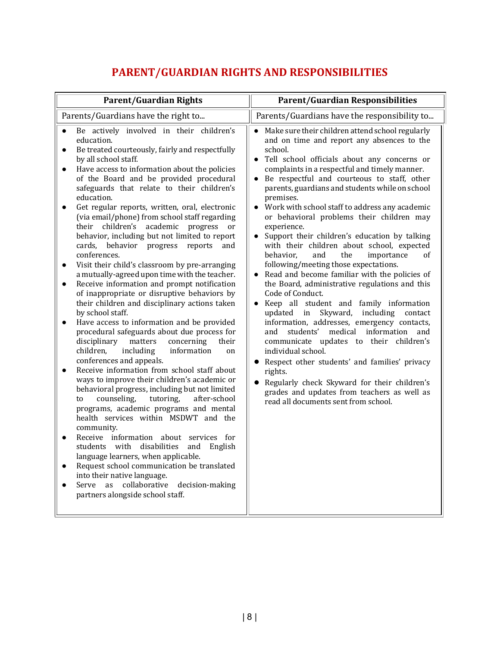# **PARENT/GUARDIAN RIGHTS AND RESPONSIBILITIES**

| <b>Parent/Guardian Rights</b>                                                                                                                                                                                                                                                                                                                                                                                                                                                                                                                                                                                                                                                                                                                                                                                                                                                                                                                                                                                                                                                                                                                                                                                                                                                                                                                                                                                                                                                                                                                                                                                                                                                                                                                                        | <b>Parent/Guardian Responsibilities</b>                                                                                                                                                                                                                                                                                                                                                                                                                                                                                                                                                                                                                                                                                                                                                                                                                                                                                                                                                                                                                                                                                                                                                                                                                                        |
|----------------------------------------------------------------------------------------------------------------------------------------------------------------------------------------------------------------------------------------------------------------------------------------------------------------------------------------------------------------------------------------------------------------------------------------------------------------------------------------------------------------------------------------------------------------------------------------------------------------------------------------------------------------------------------------------------------------------------------------------------------------------------------------------------------------------------------------------------------------------------------------------------------------------------------------------------------------------------------------------------------------------------------------------------------------------------------------------------------------------------------------------------------------------------------------------------------------------------------------------------------------------------------------------------------------------------------------------------------------------------------------------------------------------------------------------------------------------------------------------------------------------------------------------------------------------------------------------------------------------------------------------------------------------------------------------------------------------------------------------------------------------|--------------------------------------------------------------------------------------------------------------------------------------------------------------------------------------------------------------------------------------------------------------------------------------------------------------------------------------------------------------------------------------------------------------------------------------------------------------------------------------------------------------------------------------------------------------------------------------------------------------------------------------------------------------------------------------------------------------------------------------------------------------------------------------------------------------------------------------------------------------------------------------------------------------------------------------------------------------------------------------------------------------------------------------------------------------------------------------------------------------------------------------------------------------------------------------------------------------------------------------------------------------------------------|
| Parents/Guardians have the right to                                                                                                                                                                                                                                                                                                                                                                                                                                                                                                                                                                                                                                                                                                                                                                                                                                                                                                                                                                                                                                                                                                                                                                                                                                                                                                                                                                                                                                                                                                                                                                                                                                                                                                                                  | Parents/Guardians have the responsibility to                                                                                                                                                                                                                                                                                                                                                                                                                                                                                                                                                                                                                                                                                                                                                                                                                                                                                                                                                                                                                                                                                                                                                                                                                                   |
| Be actively involved in their children's<br>$\bullet$<br>education.<br>Be treated courteously, fairly and respectfully<br>$\bullet$<br>by all school staff.<br>Have access to information about the policies<br>$\bullet$<br>of the Board and be provided procedural<br>safeguards that relate to their children's<br>education.<br>Get regular reports, written, oral, electronic<br>$\bullet$<br>(via email/phone) from school staff regarding<br>their children's academic progress<br>or<br>behavior, including but not limited to report<br>cards, behavior progress<br>reports<br>and<br>conferences.<br>Visit their child's classroom by pre-arranging<br>$\bullet$<br>a mutually-agreed upon time with the teacher.<br>Receive information and prompt notification<br>$\bullet$<br>of inappropriate or disruptive behaviors by<br>their children and disciplinary actions taken<br>by school staff.<br>Have access to information and be provided<br>$\bullet$<br>procedural safeguards about due process for<br>disciplinary<br>matters<br>concerning<br>their<br>children,<br>including<br>information<br>on<br>conferences and appeals.<br>Receive information from school staff about<br>ways to improve their children's academic or<br>behavioral progress, including but not limited<br>counseling,<br>tutoring,<br>after-school<br>to<br>programs, academic programs and mental<br>health services within MSDWT and the<br>community.<br>Receive information about services for<br>$\bullet$<br>disabilities<br>English<br>students with<br>and<br>language learners, when applicable.<br>Request school communication be translated<br>into their native language.<br>Serve as collaborative<br>decision-making<br>partners alongside school staff. | Make sure their children attend school regularly<br>$\bullet$<br>and on time and report any absences to the<br>school.<br>Tell school officials about any concerns or<br>complaints in a respectful and timely manner.<br>Be respectful and courteous to staff, other<br>$\bullet$<br>parents, guardians and students while on school<br>premises.<br>• Work with school staff to address any academic<br>or behavioral problems their children may<br>experience.<br>Support their children's education by talking<br>$\bullet$<br>with their children about school, expected<br>behavior,<br>and<br>the<br>importance<br>of<br>following/meeting those expectations.<br>Read and become familiar with the policies of<br>the Board, administrative regulations and this<br>Code of Conduct.<br>Keep all student and family information<br>$\bullet$<br>updated in Skyward,<br>including<br>contact<br>information, addresses, emergency contacts,<br>information<br>students'<br>medical<br>and<br>and<br>communicate updates to their children's<br>individual school.<br>• Respect other students' and families' privacy<br>rights.<br>Regularly check Skyward for their children's<br>grades and updates from teachers as well as<br>read all documents sent from school. |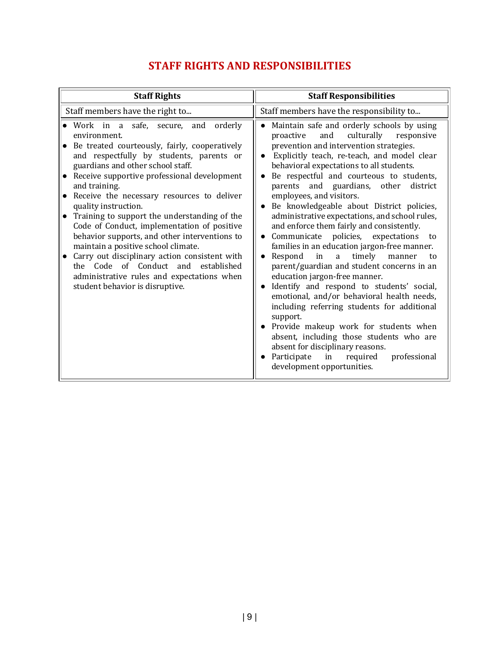## **STAFF RIGHTS AND RESPONSIBILITIES**

| <b>Staff Rights</b>                                                                                                                                                                                                                                                                                                                                                                                                                                                                                                                                                                                                                                                                            | <b>Staff Responsibilities</b>                                                                                                                                                                                                                                                                                                                                                                                                                                                                                                                                                                                                                                                                                                                                                                                                                                                                                                                                                                                                                                                                           |
|------------------------------------------------------------------------------------------------------------------------------------------------------------------------------------------------------------------------------------------------------------------------------------------------------------------------------------------------------------------------------------------------------------------------------------------------------------------------------------------------------------------------------------------------------------------------------------------------------------------------------------------------------------------------------------------------|---------------------------------------------------------------------------------------------------------------------------------------------------------------------------------------------------------------------------------------------------------------------------------------------------------------------------------------------------------------------------------------------------------------------------------------------------------------------------------------------------------------------------------------------------------------------------------------------------------------------------------------------------------------------------------------------------------------------------------------------------------------------------------------------------------------------------------------------------------------------------------------------------------------------------------------------------------------------------------------------------------------------------------------------------------------------------------------------------------|
| Staff members have the right to                                                                                                                                                                                                                                                                                                                                                                                                                                                                                                                                                                                                                                                                | Staff members have the responsibility to                                                                                                                                                                                                                                                                                                                                                                                                                                                                                                                                                                                                                                                                                                                                                                                                                                                                                                                                                                                                                                                                |
| Work in a safe, secure,<br>and orderly<br>environment.<br>Be treated courteously, fairly, cooperatively<br>and respectfully by students, parents or<br>guardians and other school staff.<br>Receive supportive professional development<br>and training.<br>Receive the necessary resources to deliver<br>quality instruction.<br>Training to support the understanding of the<br>Code of Conduct, implementation of positive<br>behavior supports, and other interventions to<br>maintain a positive school climate.<br>Carry out disciplinary action consistent with<br>the Code of Conduct and established<br>administrative rules and expectations when<br>student behavior is disruptive. | Maintain safe and orderly schools by using<br>$\bullet$<br>culturally<br>and<br>responsive<br>proactive<br>prevention and intervention strategies.<br>Explicitly teach, re-teach, and model clear<br>behavioral expectations to all students.<br>Be respectful and courteous to students,<br>parents and guardians, other<br>district<br>employees, and visitors.<br>• Be knowledgeable about District policies,<br>administrative expectations, and school rules,<br>and enforce them fairly and consistently.<br>policies, expectations<br>Communicate<br>to<br>families in an education jargon-free manner.<br>Respond<br>in<br>timely<br>a<br>manner<br>to<br>parent/guardian and student concerns in an<br>education jargon-free manner.<br>Identify and respond to students' social,<br>emotional, and/or behavioral health needs,<br>including referring students for additional<br>support.<br>• Provide makeup work for students when<br>absent, including those students who are<br>absent for disciplinary reasons.<br>Participate in required<br>professional<br>development opportunities. |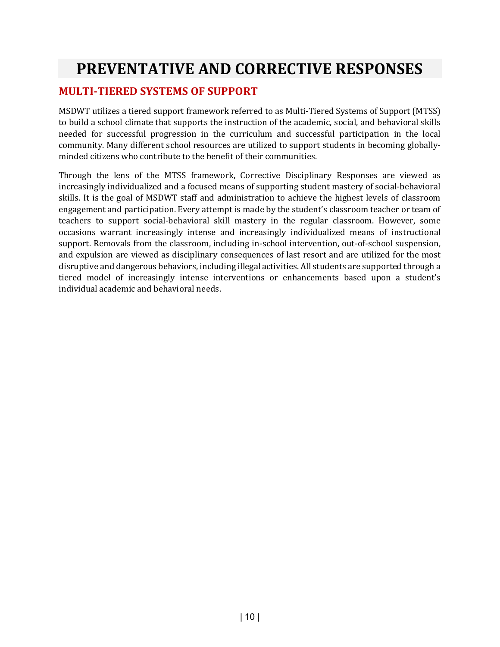# **PREVENTATIVE AND CORRECTIVE RESPONSES**

#### **MULTI-TIERED SYSTEMS OF SUPPORT**

MSDWT utilizes a tiered support framework referred to as Multi-Tiered Systems of Support (MTSS) to build a school climate that supports the instruction of the academic, social, and behavioral skills needed for successful progression in the curriculum and successful participation in the local community. Many different school resources are utilized to support students in becoming globallyminded citizens who contribute to the benefit of their communities.

Through the lens of the MTSS framework, Corrective Disciplinary Responses are viewed as increasingly individualized and a focused means of supporting student mastery of social-behavioral skills. It is the goal of MSDWT staff and administration to achieve the highest levels of classroom engagement and participation. Every attempt is made by the student's classroom teacher or team of teachers to support social-behavioral skill mastery in the regular classroom. However, some occasions warrant increasingly intense and increasingly individualized means of instructional support. Removals from the classroom, including in-school intervention, out-of-school suspension, and expulsion are viewed as disciplinary consequences of last resort and are utilized for the most disruptive and dangerous behaviors, including illegal activities. All students are supported through a tiered model of increasingly intense interventions or enhancements based upon a student's individual academic and behavioral needs.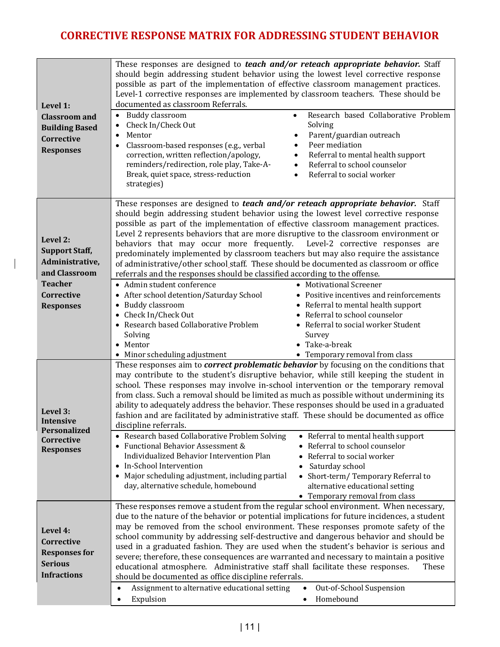## **CORRECTIVE RESPONSE MATRIX FOR ADDRESSING STUDENT BEHAVIOR**

| Level 1:<br><b>Classroom</b> and<br><b>Building Based</b><br>Corrective<br><b>Responses</b> | These responses are designed to teach and/or reteach appropriate behavior. Staff<br>should begin addressing student behavior using the lowest level corrective response<br>possible as part of the implementation of effective classroom management practices.<br>Level-1 corrective responses are implemented by classroom teachers. These should be<br>documented as classroom Referrals.<br><b>Buddy classroom</b><br>Research based Collaborative Problem<br>$\bullet$<br>$\bullet$<br>Check In/Check Out<br>Solving<br>Parent/guardian outreach<br>Mentor<br>٠<br>$\bullet$<br>Peer mediation<br>Classroom-based responses (e.g., verbal<br>$\bullet$<br>$\bullet$<br>correction, written reflection/apology,<br>Referral to mental health support<br>$\bullet$<br>reminders/redirection, role play, Take-A-<br>Referral to school counselor<br>$\bullet$<br>Break, quiet space, stress-reduction<br>Referral to social worker<br>$\bullet$<br>strategies) |
|---------------------------------------------------------------------------------------------|-----------------------------------------------------------------------------------------------------------------------------------------------------------------------------------------------------------------------------------------------------------------------------------------------------------------------------------------------------------------------------------------------------------------------------------------------------------------------------------------------------------------------------------------------------------------------------------------------------------------------------------------------------------------------------------------------------------------------------------------------------------------------------------------------------------------------------------------------------------------------------------------------------------------------------------------------------------------|
| Level 2:<br><b>Support Staff,</b><br>Administrative,<br>and Classroom<br><b>Teacher</b>     | These responses are designed to teach and/or reteach appropriate behavior. Staff<br>should begin addressing student behavior using the lowest level corrective response<br>possible as part of the implementation of effective classroom management practices.<br>Level 2 represents behaviors that are more disruptive to the classroom environment or<br>behaviors that may occur more frequently. Level-2 corrective responses are<br>predominately implemented by classroom teachers but may also require the assistance<br>of administrative/other school_staff. These should be documented as classroom or office<br>referrals and the responses should be classified according to the offense.                                                                                                                                                                                                                                                           |
| Corrective<br><b>Responses</b>                                                              | • Admin student conference<br>• Motivational Screener<br>After school detention/Saturday School<br>• Positive incentives and reinforcements<br><b>Buddy classroom</b><br>• Referral to mental health support<br>$\bullet$<br>Check In/Check Out<br>• Referral to school counselor<br>• Research based Collaborative Problem<br>• Referral to social worker Student<br>Solving<br>Survey<br>• Take-a-break<br>• Mentor<br>• Minor scheduling adjustment<br>• Temporary removal from class                                                                                                                                                                                                                                                                                                                                                                                                                                                                        |
| Level 3:<br>Intensive<br>Personalized<br>Corrective<br><b>Responses</b>                     | These responses aim to <i>correct problematic behavior</i> by focusing on the conditions that<br>may contribute to the student's disruptive behavior, while still keeping the student in<br>school. These responses may involve in-school intervention or the temporary removal<br>from class. Such a removal should be limited as much as possible without undermining its<br>ability to adequately address the behavior. These responses should be used in a graduated<br>fashion and are facilitated by administrative staff. These should be documented as office<br>discipline referrals.<br>• Research based Collaborative Problem Solving<br>• Referral to mental health support<br>• Functional Behavior Assessment &<br>Referral to school counselor<br>Individualized Behavior Intervention Plan<br>Referral to social worker<br>• In-School Intervention<br>Saturday school<br>• Major scheduling adjustment, including partial                      |
|                                                                                             | Short-term/Temporary Referral to<br>day, alternative schedule, homebound<br>alternative educational setting<br>• Temporary removal from class<br>These responses remove a student from the regular school environment. When necessary,                                                                                                                                                                                                                                                                                                                                                                                                                                                                                                                                                                                                                                                                                                                          |
| Level 4:<br>Corrective<br><b>Responses for</b><br><b>Serious</b><br><b>Infractions</b>      | due to the nature of the behavior or potential implications for future incidences, a student<br>may be removed from the school environment. These responses promote safety of the<br>school community by addressing self-destructive and dangerous behavior and should be<br>used in a graduated fashion. They are used when the student's behavior is serious and<br>severe; therefore, these consequences are warranted and necessary to maintain a positive<br>educational atmosphere. Administrative staff shall facilitate these responses.<br>These<br>should be documented as office discipline referrals.<br>Assignment to alternative educational setting<br>Out-of-School Suspension<br>$\bullet$                                                                                                                                                                                                                                                     |
|                                                                                             | Homebound<br>Expulsion<br>$\bullet$<br>$\bullet$                                                                                                                                                                                                                                                                                                                                                                                                                                                                                                                                                                                                                                                                                                                                                                                                                                                                                                                |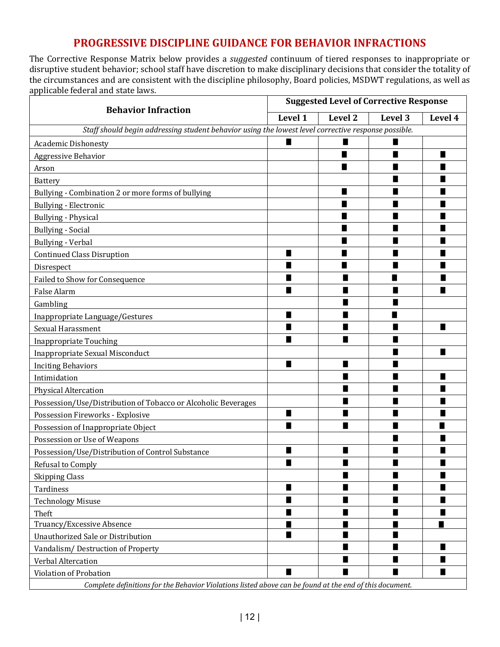### **PROGRESSIVE DISCIPLINE GUIDANCE FOR BEHAVIOR INFRACTIONS**

The Corrective Response Matrix below provides a *suggested* continuum of tiered responses to inappropriate or disruptive student behavior; school staff have discretion to make disciplinary decisions that consider the totality of the circumstances and are consistent with the discipline philosophy, Board policies, MSDWT regulations, as well as applicable federal and state laws.

|                                                                                                         | <b>Suggested Level of Corrective Response</b> |         |         |         |
|---------------------------------------------------------------------------------------------------------|-----------------------------------------------|---------|---------|---------|
| <b>Behavior Infraction</b>                                                                              | Level 1                                       | Level 2 | Level 3 | Level 4 |
| Staff should begin addressing student behavior using the lowest level corrective response possible.     |                                               |         |         |         |
| <b>Academic Dishonesty</b>                                                                              | п                                             |         |         |         |
| Aggressive Behavior                                                                                     |                                               | ш       | ■       | ■       |
| Arson                                                                                                   |                                               |         |         |         |
| Battery                                                                                                 |                                               |         |         |         |
| Bullying - Combination 2 or more forms of bullying                                                      |                                               |         |         |         |
| Bullying - Electronic                                                                                   |                                               |         |         |         |
| <b>Bullying - Physical</b>                                                                              |                                               | ■       |         |         |
| <b>Bullying - Social</b>                                                                                |                                               | ٠       |         |         |
| <b>Bullying - Verbal</b>                                                                                |                                               |         |         |         |
| <b>Continued Class Disruption</b>                                                                       | п                                             | ■       |         |         |
| Disrespect                                                                                              | н                                             |         |         |         |
| <b>Failed to Show for Consequence</b>                                                                   | ■                                             |         |         |         |
| False Alarm                                                                                             | ■                                             |         |         |         |
| Gambling                                                                                                |                                               |         |         |         |
| Inappropriate Language/Gestures                                                                         | п                                             |         |         |         |
| Sexual Harassment                                                                                       |                                               |         |         |         |
| <b>Inappropriate Touching</b>                                                                           | н                                             |         |         |         |
| Inappropriate Sexual Misconduct                                                                         |                                               |         |         |         |
| <b>Inciting Behaviors</b>                                                                               | п                                             |         |         |         |
| Intimidation                                                                                            |                                               |         |         |         |
| <b>Physical Altercation</b>                                                                             |                                               |         |         |         |
| Possession/Use/Distribution of Tobacco or Alcoholic Beverages                                           |                                               |         |         |         |
| Possession Fireworks - Explosive                                                                        | п                                             |         |         |         |
| Possession of Inappropriate Object                                                                      | ■                                             |         |         |         |
| Possession or Use of Weapons                                                                            |                                               |         |         |         |
| Possession/Use/Distribution of Control Substance                                                        |                                               |         |         |         |
| Refusal to Comply                                                                                       | ■                                             |         |         |         |
| <b>Skipping Class</b>                                                                                   |                                               |         | п       | ■       |
| п<br>■<br>Tardiness                                                                                     |                                               |         | ■       |         |
| н<br><b>Technology Misuse</b>                                                                           |                                               | п       |         |         |
| Theft                                                                                                   | п                                             |         |         | п       |
| Truancy/Excessive Absence<br>ш                                                                          |                                               |         |         |         |
| Unauthorized Sale or Distribution                                                                       | п                                             |         |         |         |
| Vandalism/Destruction of Property                                                                       |                                               |         | ■       | ■       |
| Verbal Altercation                                                                                      |                                               |         |         |         |
| Violation of Probation                                                                                  | ■                                             |         |         |         |
| Complete definitions for the Behavior Violations listed above can be found at the end of this document. |                                               |         |         |         |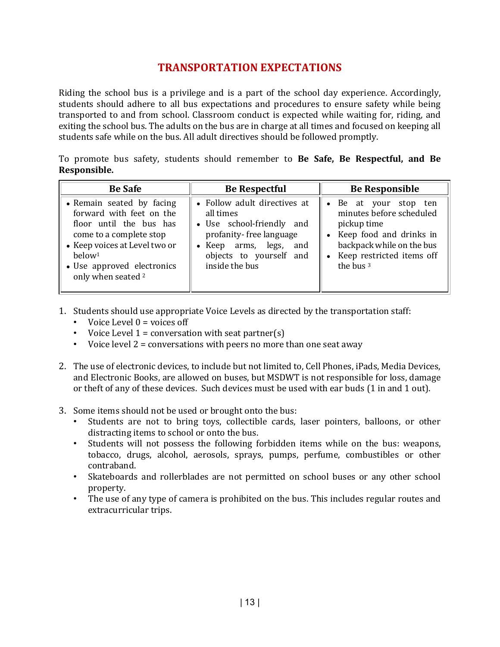### **TRANSPORTATION EXPECTATIONS**

Riding the school bus is a privilege and is a part of the school day experience. Accordingly, students should adhere to all bus expectations and procedures to ensure safety while being transported to and from school. Classroom conduct is expected while waiting for, riding, and exiting the school bus. The adults on the bus are in charge at all times and focused on keeping all students safe while on the bus. All adult directives should be followed promptly.

To promote bus safety, students should remember to **Be Safe, Be Respectful, and Be Responsible.** 

| <b>Be Safe</b>                                                                                                                                                                                                                    | <b>Be Respectful</b>                                                                                                                                                                      | <b>Be Responsible</b>                                                                                                                                                                        |  |
|-----------------------------------------------------------------------------------------------------------------------------------------------------------------------------------------------------------------------------------|-------------------------------------------------------------------------------------------------------------------------------------------------------------------------------------------|----------------------------------------------------------------------------------------------------------------------------------------------------------------------------------------------|--|
| • Remain seated by facing<br>forward with feet on the<br>floor until the bus has<br>come to a complete stop<br>• Keep voices at Level two or<br>below <sup>1</sup><br>• Use approved electronics<br>only when seated <sup>2</sup> | • Follow adult directives at<br>all times<br>• Use school-friendly and<br>profanity-free language<br>legs,<br>Keep arms,<br>and<br>$\bullet$<br>objects to yourself and<br>inside the bus | • Be at your stop ten<br>minutes before scheduled<br>pickup time<br>Keep food and drinks in<br>$\bullet$<br>backpack while on the bus<br>• Keep restricted items off<br>the bus <sup>3</sup> |  |

- 1. Students should use appropriate Voice Levels as directed by the transportation staff:
	- Voice Level  $0 = \text{voices off}$
	- Voice Level  $1 =$  conversation with seat partner(s)
	- Voice level 2 = conversations with peers no more than one seat away
- 2. The use of electronic devices, to include but not limited to, Cell Phones, iPads, Media Devices, and Electronic Books, are allowed on buses, but MSDWT is not responsible for loss, damage or theft of any of these devices. Such devices must be used with ear buds (1 in and 1 out).
- 3. Some items should not be used or brought onto the bus:
	- Students are not to bring toys, collectible cards, laser pointers, balloons, or other distracting items to school or onto the bus.
	- Students will not possess the following forbidden items while on the bus: weapons, tobacco, drugs, alcohol, aerosols, sprays, pumps, perfume, combustibles or other contraband.
	- Skateboards and rollerblades are not permitted on school buses or any other school property.
	- The use of any type of camera is prohibited on the bus. This includes regular routes and extracurricular trips.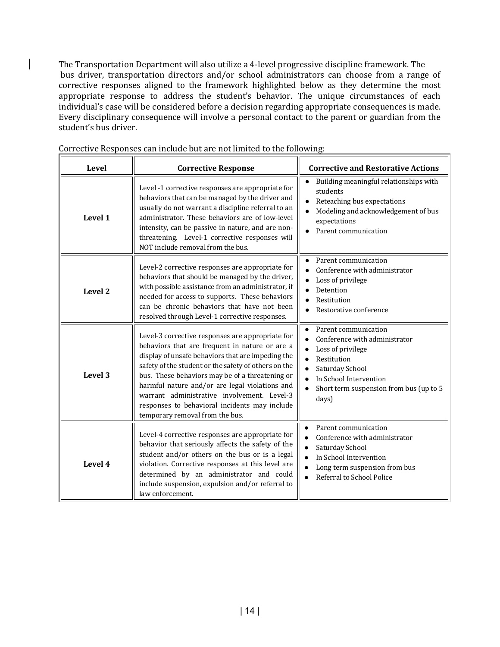The Transportation Department will also utilize a 4-level progressive discipline framework. The bus driver, transportation directors and/or school administrators can choose from a range of corrective responses aligned to the framework highlighted below as they determine the most appropriate response to address the student's behavior. The unique circumstances of each individual's case will be considered before a decision regarding appropriate consequences is made. Every disciplinary consequence will involve a personal contact to the parent or guardian from the student's bus driver.

| <b>Level</b> | <b>Corrective Response</b>                                                                                                                                                                                                                                                                                                                                                                                                                              | <b>Corrective and Restorative Actions</b>                                                                                                                                                                                         |
|--------------|---------------------------------------------------------------------------------------------------------------------------------------------------------------------------------------------------------------------------------------------------------------------------------------------------------------------------------------------------------------------------------------------------------------------------------------------------------|-----------------------------------------------------------------------------------------------------------------------------------------------------------------------------------------------------------------------------------|
| Level 1      | Level -1 corrective responses are appropriate for<br>behaviors that can be managed by the driver and<br>usually do not warrant a discipline referral to an<br>administrator. These behaviors are of low-level<br>intensity, can be passive in nature, and are non-<br>threatening. Level-1 corrective responses will<br>NOT include removal from the bus.                                                                                               | Building meaningful relationships with<br>$\bullet$<br>students<br>Reteaching bus expectations<br>$\bullet$<br>Modeling and acknowledgement of bus<br>expectations<br>Parent communication                                        |
| Level 2      | Level-2 corrective responses are appropriate for<br>behaviors that should be managed by the driver,<br>with possible assistance from an administrator, if<br>needed for access to supports. These behaviors<br>can be chronic behaviors that have not been<br>resolved through Level-1 corrective responses.                                                                                                                                            | Parent communication<br>$\bullet$<br>Conference with administrator<br>$\bullet$<br>Loss of privilege<br>$\bullet$<br>Detention<br>$\bullet$<br>Restitution<br>Restorative conference                                              |
| Level 3      | Level-3 corrective responses are appropriate for<br>behaviors that are frequent in nature or are a<br>display of unsafe behaviors that are impeding the<br>safety of the student or the safety of others on the<br>bus. These behaviors may be of a threatening or<br>harmful nature and/or are legal violations and<br>warrant administrative involvement. Level-3<br>responses to behavioral incidents may include<br>temporary removal from the bus. | Parent communication<br>$\bullet$<br>Conference with administrator<br>$\bullet$<br>Loss of privilege<br>Restitution<br>$\bullet$<br>Saturday School<br>In School Intervention<br>Short term suspension from bus (up to 5<br>days) |
| Level 4      | Level-4 corrective responses are appropriate for<br>behavior that seriously affects the safety of the<br>student and/or others on the bus or is a legal<br>violation. Corrective responses at this level are<br>determined by an administrator and could<br>include suspension, expulsion and/or referral to<br>law enforcement.                                                                                                                        | Parent communication<br>$\bullet$<br>Conference with administrator<br>Saturday School<br>In School Intervention<br>Long term suspension from bus<br>Referral to School Police                                                     |

Corrective Responses can include but are not limited to the following: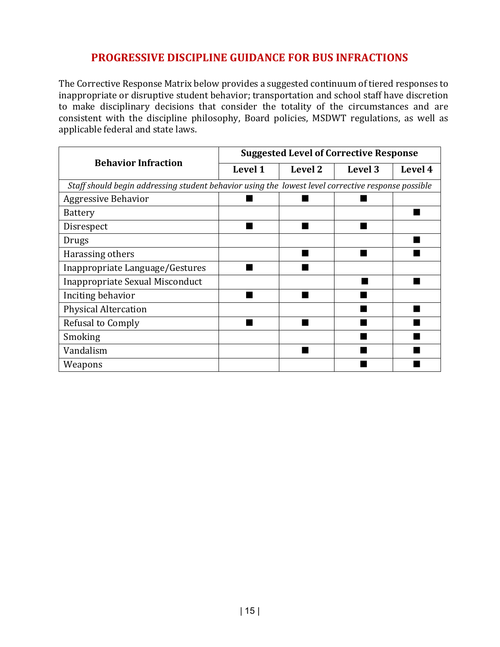### **PROGRESSIVE DISCIPLINE GUIDANCE FOR BUS INFRACTIONS**

The Corrective Response Matrix below provides a suggested continuum of tiered responses to inappropriate or disruptive student behavior; transportation and school staff have discretion to make disciplinary decisions that consider the totality of the circumstances and are consistent with the discipline philosophy, Board policies, MSDWT regulations, as well as applicable federal and state laws.

|                                                                                                    |         | <b>Suggested Level of Corrective Response</b> |         |         |
|----------------------------------------------------------------------------------------------------|---------|-----------------------------------------------|---------|---------|
| <b>Behavior Infraction</b>                                                                         | Level 1 | Level 2                                       | Level 3 | Level 4 |
| Staff should begin addressing student behavior using the lowest level corrective response possible |         |                                               |         |         |
| <b>Aggressive Behavior</b>                                                                         |         |                                               |         |         |
| <b>Battery</b>                                                                                     |         |                                               |         |         |
| Disrespect                                                                                         |         |                                               |         |         |
| Drugs                                                                                              |         |                                               |         |         |
| Harassing others                                                                                   |         |                                               |         |         |
| Inappropriate Language/Gestures                                                                    |         |                                               |         |         |
| Inappropriate Sexual Misconduct                                                                    |         |                                               |         |         |
| Inciting behavior                                                                                  |         |                                               |         |         |
| <b>Physical Altercation</b>                                                                        |         |                                               |         |         |
| Refusal to Comply                                                                                  |         |                                               |         |         |
| Smoking                                                                                            |         |                                               |         |         |
| Vandalism                                                                                          |         |                                               |         |         |
| Weapons                                                                                            |         |                                               |         |         |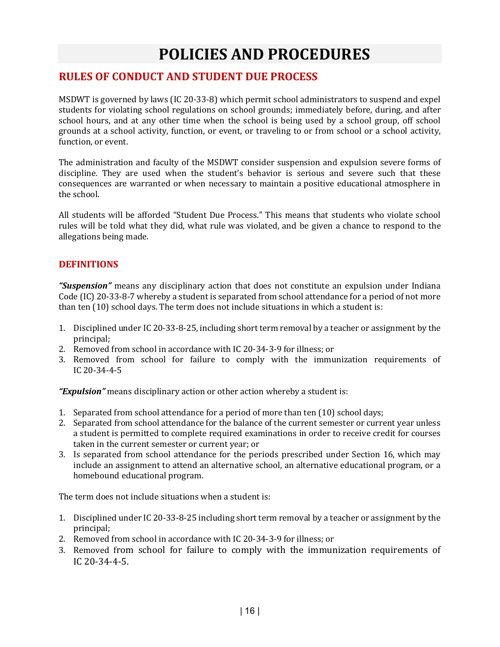# **POLICIES AND PROCEDURES**

#### **RULES OF CONDUCT AND STUDENT DUE PROCESS**

MSDWT is governed by laws (IC 20-33-8) which permit school administrators to suspend and expel students for violating school regulations on school grounds; immediately before, during, and after school hours, and at any other time when the school is being used by a school group, off school grounds at a school activity, function, or event, or traveling to or from school or a school activity, function, or event.

The administration and faculty of the MSDWT consider suspension and expulsion severe forms of discipline. They are used when the student's behavior is serious and severe such that these consequences are warranted or when necessary to maintain a positive educational atmosphere in the school.

All students will be afforded "Student Due Process." This means that students who violate school rules will be told what they did, what rule was violated, and be given a chance to respond to the allegations being made.

#### **DEFINITIONS**

*"Suspension"* means any disciplinary action that does not constitute an expulsion under Indiana Code (IC) 20-33-8-7 whereby a student is separated from school attendance for a period of not more than ten (10) school days. The term does not include situations in which a student is:

- 1. Disciplined under IC 20-33-8-25, including short term removal by a teacher or assignment by the principal;
- 2. Removed from school in accordance with IC 20-34-3-9 for illness; or
- 3. Removed from school for failure to comply with the immunization requirements of IC 20-34-4-5

*"Expulsion"* means disciplinary action or other action whereby a student is:

- 1. Separated from school attendance for a period of more than ten (10) school days;
- 2. Separated from school attendance for the balance of the current semester or current year unless a student is permitted to complete required examinations in order to receive credit for courses taken in the current semester or current year; or
- 3. Is separated from school attendance for the periods prescribed under Section 16, which may include an assignment to attend an alternative school, an alternative educational program, or a homebound educational program.

The term does not include situations when a student is:

- 1. Disciplined under IC 20-33-8-25 including short term removal by a teacher or assignment by the principal;
- 2. Removed from school in accordance with IC 20-34-3-9 for illness; or
- 3. Removed from school for failure to comply with the immunization requirements of IC 20-34-4-5.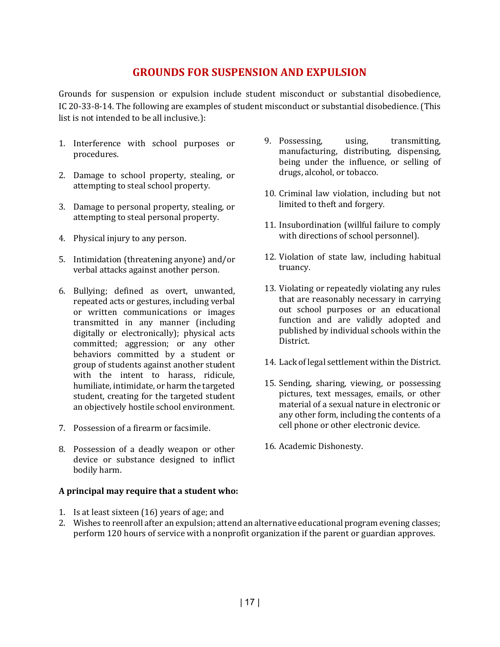#### **GROUNDS FOR SUSPENSION AND EXPULSION**

Grounds for suspension or expulsion include student misconduct or substantial disobedience, IC 20-33-8-14. The following are examples of student misconduct or substantial disobedience. (This list is not intended to be all inclusive.):

- 1. Interference with school purposes or procedures.
- 2. Damage to school property, stealing, or attempting to steal school property.
- 3. Damage to personal property, stealing, or attempting to steal personal property.
- 4. Physical injury to any person.
- 5. Intimidation (threatening anyone) and/or verbal attacks against another person.
- 6. Bullying; defined as overt, unwanted, repeated acts or gestures, including verbal or written communications or images transmitted in any manner (including digitally or electronically); physical acts committed; aggression; or any other behaviors committed by a student or group of students against another student with the intent to harass, ridicule, humiliate, intimidate, or harm the targeted student, creating for the targeted student an objectively hostile school environment.
- 7. Possession of a firearm or facsimile.
- 8. Possession of a deadly weapon or other device or substance designed to inflict bodily harm.

#### **A principal may require that a student who:**

1. Is at least sixteen (16) years of age; and

- 9. Possessing, using, transmitting, manufacturing, distributing, dispensing, being under the influence, or selling of drugs, alcohol, or tobacco.
- 10. Criminal law violation, including but not limited to theft and forgery.
- 11. Insubordination (willful failure to comply with directions of school personnel).
- 12. Violation of state law, including habitual truancy.
- 13. Violating or repeatedly violating any rules that are reasonably necessary in carrying out school purposes or an educational function and are validly adopted and published by individual schools within the District.
- 14. Lack of legal settlement within the District.
- 15. Sending, sharing, viewing, or possessing pictures, text messages, emails, or other material of a sexual nature in electronic or any other form, including the contents of a cell phone or other electronic device.
- 16. Academic Dishonesty.

2. Wishes to reenroll after an expulsion; attend an alternative educational program evening classes; perform 120 hours of service with a nonprofit organization if the parent or guardian approves.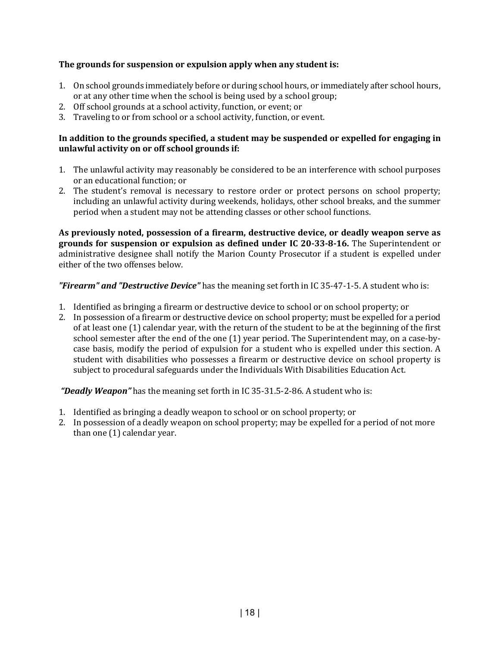#### **The grounds for suspension or expulsion apply when any student is:**

- 1. On school grounds immediately before or during school hours, or immediately after school hours, or at any other time when the school is being used by a school group;
- 2. Off school grounds at a school activity, function, or event; or
- 3. Traveling to or from school or a school activity, function, or event.

#### **In addition to the grounds specified, a student may be suspended or expelled for engaging in unlawful activity on or off school grounds if:**

- 1. The unlawful activity may reasonably be considered to be an interference with school purposes or an educational function; or
- 2. The student's removal is necessary to restore order or protect persons on school property; including an unlawful activity during weekends, holidays, other school breaks, and the summer period when a student may not be attending classes or other school functions.

**As previously noted, possession of a firearm, destructive device, or deadly weapon serve as grounds for suspension or expulsion as defined under IC 20-33-8-16.** The Superintendent or administrative designee shall notify the Marion County Prosecutor if a student is expelled under either of the two offenses below.

*"Firearm" and "Destructive Device"* has the meaning set forth in IC 35-47-1-5. A student who is:

- 1. Identified as bringing a firearm or destructive device to school or on school property; or
- 2. In possession of a firearm or destructive device on school property; must be expelled for a period of at least one (1) calendar year, with the return of the student to be at the beginning of the first school semester after the end of the one (1) year period. The Superintendent may, on a case-bycase basis, modify the period of expulsion for a student who is expelled under this section. A student with disabilities who possesses a firearm or destructive device on school property is subject to procedural safeguards under the Individuals With Disabilities Education Act.

*"Deadly Weapon"* has the meaning set forth in IC 35-31.5-2-86. A student who is:

- 1. Identified as bringing a deadly weapon to school or on school property; or
- 2. In possession of a deadly weapon on school property; may be expelled for a period of not more than one (1) calendar year.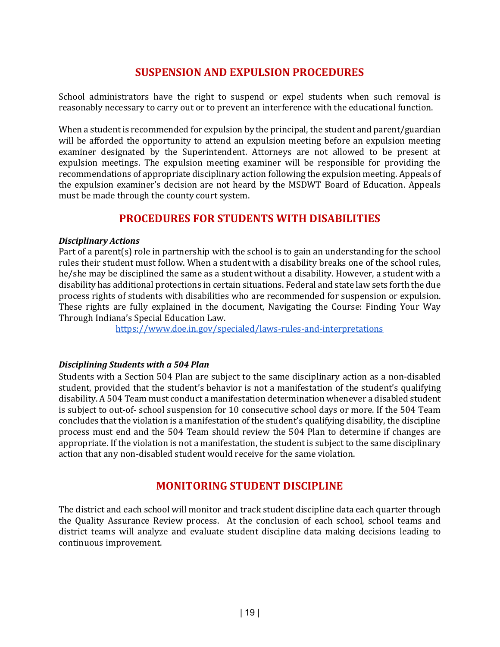### **SUSPENSION AND EXPULSION PROCEDURES**

School administrators have the right to suspend or expel students when such removal is reasonably necessary to carry out or to prevent an interference with the educational function.

When a student is recommended for expulsion by the principal, the student and parent/guardian will be afforded the opportunity to attend an expulsion meeting before an expulsion meeting examiner designated by the Superintendent. Attorneys are not allowed to be present at expulsion meetings. The expulsion meeting examiner will be responsible for providing the recommendations of appropriate disciplinary action following the expulsion meeting. Appeals of the expulsion examiner's decision are not heard by the MSDWT Board of Education. Appeals must be made through the county court system.

### **PROCEDURES FOR STUDENTS WITH DISABILITIES**

#### *Disciplinary Actions*

Part of a parent(s) role in partnership with the school is to gain an understanding for the school rules their student must follow. When a student with a disability breaks one of the school rules, he/she may be disciplined the same as a student without a disability. However, a student with a disability has additional protections in certain situations. Federal and state law sets forth the due process rights of students with disabilities who are recommended for suspension or expulsion. These rights are fully explained in the document, Navigating the Course: Finding Your Way Through Indiana's Special Education Law.

<https://www.doe.in.gov/specialed/laws-rules-and-interpretations>

#### *Disciplining Students with a 504 Plan*

Students with a Section 504 Plan are subject to the same disciplinary action as a non-disabled student, provided that the student's behavior is not a manifestation of the student's qualifying disability. A 504 Team must conduct a manifestation determination whenever a disabled student is subject to out-of- school suspension for 10 consecutive school days or more. If the 504 Team concludes that the violation is a manifestation of the student's qualifying disability, the discipline process must end and the 504 Team should review the 504 Plan to determine if changes are appropriate. If the violation is not a manifestation, the student is subject to the same disciplinary action that any non-disabled student would receive for the same violation.

#### **MONITORING STUDENT DISCIPLINE**

The district and each school will monitor and track student discipline data each quarter through the Quality Assurance Review process. At the conclusion of each school, school teams and district teams will analyze and evaluate student discipline data making decisions leading to continuous improvement.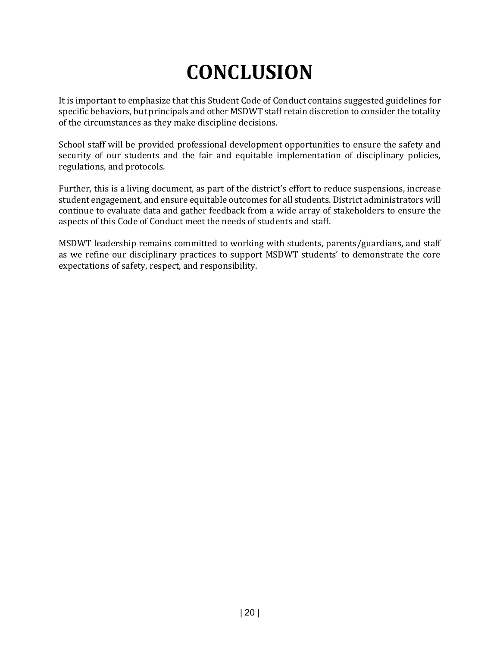# **CONCLUSION**

It is important to emphasize that this Student Code of Conduct contains suggested guidelines for specific behaviors, but principals and other MSDWT staff retain discretion to consider the totality of the circumstances as they make discipline decisions.

School staff will be provided professional development opportunities to ensure the safety and security of our students and the fair and equitable implementation of disciplinary policies, regulations, and protocols.

Further, this is a living document, as part of the district's effort to reduce suspensions, increase student engagement, and ensure equitable outcomes for all students. District administrators will continue to evaluate data and gather feedback from a wide array of stakeholders to ensure the aspects of this Code of Conduct meet the needs of students and staff.

MSDWT leadership remains committed to working with students, parents/guardians, and staff as we refine our disciplinary practices to support MSDWT students' to demonstrate the core expectations of safety, respect, and responsibility.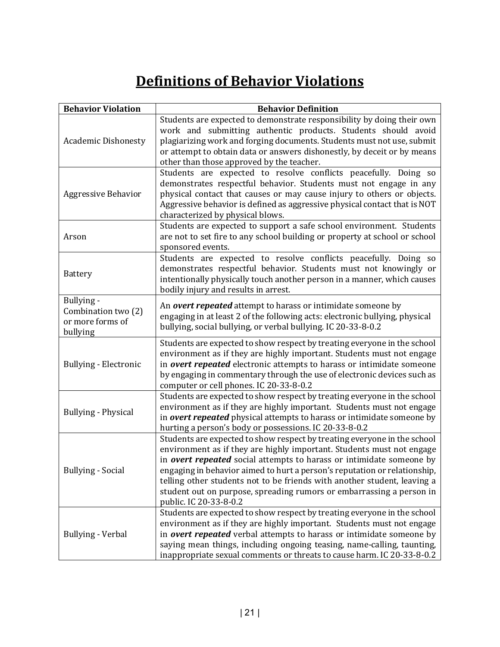# **Definitions of Behavior Violations**

| <b>Behavior Violation</b>                                         | <b>Behavior Definition</b>                                                                                                                                                                                                                                                                                                                                                                                                                                                           |
|-------------------------------------------------------------------|--------------------------------------------------------------------------------------------------------------------------------------------------------------------------------------------------------------------------------------------------------------------------------------------------------------------------------------------------------------------------------------------------------------------------------------------------------------------------------------|
| <b>Academic Dishonesty</b>                                        | Students are expected to demonstrate responsibility by doing their own<br>work and submitting authentic products. Students should avoid<br>plagiarizing work and forging documents. Students must not use, submit<br>or attempt to obtain data or answers dishonestly, by deceit or by means<br>other than those approved by the teacher.                                                                                                                                            |
| <b>Aggressive Behavior</b>                                        | Students are expected to resolve conflicts peacefully. Doing so<br>demonstrates respectful behavior. Students must not engage in any<br>physical contact that causes or may cause injury to others or objects.<br>Aggressive behavior is defined as aggressive physical contact that is NOT<br>characterized by physical blows.                                                                                                                                                      |
| Arson                                                             | Students are expected to support a safe school environment. Students<br>are not to set fire to any school building or property at school or school<br>sponsored events.                                                                                                                                                                                                                                                                                                              |
| Battery                                                           | Students are expected to resolve conflicts peacefully. Doing so<br>demonstrates respectful behavior. Students must not knowingly or<br>intentionally physically touch another person in a manner, which causes<br>bodily injury and results in arrest.                                                                                                                                                                                                                               |
| Bullying -<br>Combination two (2)<br>or more forms of<br>bullying | An overt repeated attempt to harass or intimidate someone by<br>engaging in at least 2 of the following acts: electronic bullying, physical<br>bullying, social bullying, or verbal bullying. IC 20-33-8-0.2                                                                                                                                                                                                                                                                         |
| Bullying - Electronic                                             | Students are expected to show respect by treating everyone in the school<br>environment as if they are highly important. Students must not engage<br>in overt repeated electronic attempts to harass or intimidate someone<br>by engaging in commentary through the use of electronic devices such as<br>computer or cell phones. IC 20-33-8-0.2                                                                                                                                     |
| Bullying - Physical                                               | Students are expected to show respect by treating everyone in the school<br>environment as if they are highly important. Students must not engage<br>in overt repeated physical attempts to harass or intimidate someone by<br>hurting a person's body or possessions. IC 20-33-8-0.2                                                                                                                                                                                                |
| <b>Bullying - Social</b>                                          | Students are expected to show respect by treating everyone in the school<br>environment as if they are highly important. Students must not engage<br>in overt repeated social attempts to harass or intimidate someone by<br>engaging in behavior aimed to hurt a person's reputation or relationship,<br>telling other students not to be friends with another student, leaving a<br>student out on purpose, spreading rumors or embarrassing a person in<br>public. IC 20-33-8-0.2 |
| <b>Bullying - Verbal</b>                                          | Students are expected to show respect by treating everyone in the school<br>environment as if they are highly important. Students must not engage<br>in overt repeated verbal attempts to harass or intimidate someone by<br>saying mean things, including ongoing teasing, name-calling, taunting,<br>inappropriate sexual comments or threats to cause harm. IC 20-33-8-0.2                                                                                                        |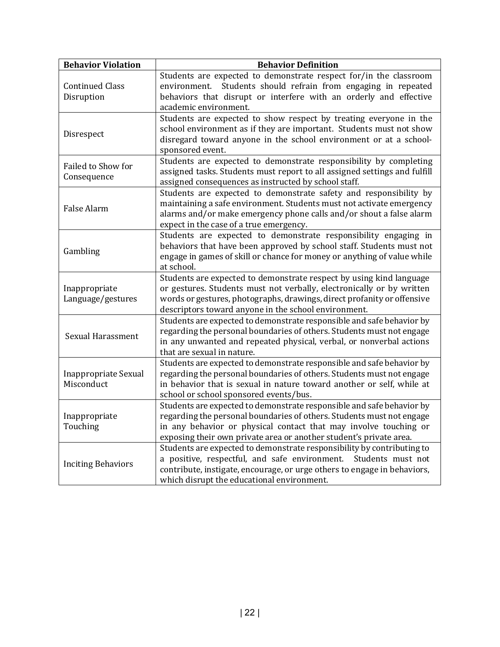| <b>Behavior Violation</b>            | <b>Behavior Definition</b>                                                                                                                                                                                                                                                               |
|--------------------------------------|------------------------------------------------------------------------------------------------------------------------------------------------------------------------------------------------------------------------------------------------------------------------------------------|
| <b>Continued Class</b><br>Disruption | Students are expected to demonstrate respect for/in the classroom<br>Students should refrain from engaging in repeated<br>environment.<br>behaviors that disrupt or interfere with an orderly and effective<br>academic environment.                                                     |
| Disrespect                           | Students are expected to show respect by treating everyone in the<br>school environment as if they are important. Students must not show<br>disregard toward anyone in the school environment or at a school-<br>sponsored event.                                                        |
| Failed to Show for<br>Consequence    | Students are expected to demonstrate responsibility by completing<br>assigned tasks. Students must report to all assigned settings and fulfill<br>assigned consequences as instructed by school staff.                                                                                   |
| False Alarm                          | Students are expected to demonstrate safety and responsibility by<br>maintaining a safe environment. Students must not activate emergency<br>alarms and/or make emergency phone calls and/or shout a false alarm<br>expect in the case of a true emergency.                              |
| Gambling                             | Students are expected to demonstrate responsibility engaging in<br>behaviors that have been approved by school staff. Students must not<br>engage in games of skill or chance for money or anything of value while<br>at school.                                                         |
| Inappropriate<br>Language/gestures   | Students are expected to demonstrate respect by using kind language<br>or gestures. Students must not verbally, electronically or by written<br>words or gestures, photographs, drawings, direct profanity or offensive<br>descriptors toward anyone in the school environment.          |
| Sexual Harassment                    | Students are expected to demonstrate responsible and safe behavior by<br>regarding the personal boundaries of others. Students must not engage<br>in any unwanted and repeated physical, verbal, or nonverbal actions<br>that are sexual in nature.                                      |
| Inappropriate Sexual<br>Misconduct   | Students are expected to demonstrate responsible and safe behavior by<br>regarding the personal boundaries of others. Students must not engage<br>in behavior that is sexual in nature toward another or self, while at<br>school or school sponsored events/bus.                        |
| Inappropriate<br>Touching            | Students are expected to demonstrate responsible and safe behavior by<br>regarding the personal boundaries of others. Students must not engage<br>in any behavior or physical contact that may involve touching or<br>exposing their own private area or another student's private area. |
| <b>Inciting Behaviors</b>            | Students are expected to demonstrate responsibility by contributing to<br>a positive, respectful, and safe environment. Students must not<br>contribute, instigate, encourage, or urge others to engage in behaviors,<br>which disrupt the educational environment.                      |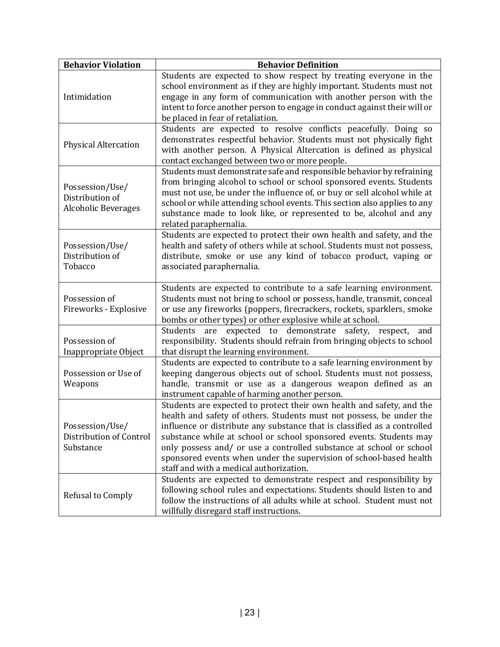| <b>Behavior Violation</b>                                        | <b>Behavior Definition</b>                                                                                                                                                                                                                                                                                                                                                                                                                                                              |
|------------------------------------------------------------------|-----------------------------------------------------------------------------------------------------------------------------------------------------------------------------------------------------------------------------------------------------------------------------------------------------------------------------------------------------------------------------------------------------------------------------------------------------------------------------------------|
| Intimidation                                                     | Students are expected to show respect by treating everyone in the<br>school environment as if they are highly important. Students must not<br>engage in any form of communication with another person with the<br>intent to force another person to engage in conduct against their will or<br>be placed in fear of retaliation.                                                                                                                                                        |
| <b>Physical Altercation</b>                                      | Students are expected to resolve conflicts peacefully. Doing so<br>demonstrates respectful behavior. Students must not physically fight<br>with another person. A Physical Altercation is defined as physical<br>contact exchanged between two or more people.                                                                                                                                                                                                                          |
| Possession/Use/<br>Distribution of<br><b>Alcoholic Beverages</b> | Students must demonstrate safe and responsible behavior by refraining<br>from bringing alcohol to school or school sponsored events. Students<br>must not use, be under the influence of, or buy or sell alcohol while at<br>school or while attending school events. This section also applies to any<br>substance made to look like, or represented to be, alcohol and any<br>related paraphernalia.                                                                                  |
| Possession/Use/<br>Distribution of<br>Tobacco                    | Students are expected to protect their own health and safety, and the<br>health and safety of others while at school. Students must not possess,<br>distribute, smoke or use any kind of tobacco product, vaping or<br>associated paraphernalia.                                                                                                                                                                                                                                        |
| Possession of<br>Fireworks - Explosive                           | Students are expected to contribute to a safe learning environment.<br>Students must not bring to school or possess, handle, transmit, conceal<br>or use any fireworks (poppers, firecrackers, rockets, sparklers, smoke<br>bombs or other types) or other explosive while at school.                                                                                                                                                                                                   |
| Possession of<br>Inappropriate Object                            | are expected to demonstrate safety, respect,<br>Students<br>and<br>responsibility. Students should refrain from bringing objects to school<br>that disrupt the learning environment.                                                                                                                                                                                                                                                                                                    |
| Possession or Use of<br>Weapons                                  | Students are expected to contribute to a safe learning environment by<br>keeping dangerous objects out of school. Students must not possess,<br>handle, transmit or use as a dangerous weapon defined as an<br>instrument capable of harming another person.                                                                                                                                                                                                                            |
| Possession/Use/<br>Distribution of Control<br>Substance          | Students are expected to protect their own health and safety, and the<br>health and safety of others. Students must not possess, be under the<br>influence or distribute any substance that is classified as a controlled<br>substance while at school or school sponsored events. Students may<br>only possess and/ or use a controlled substance at school or school<br>sponsored events when under the supervision of school-based health<br>staff and with a medical authorization. |
| Refusal to Comply                                                | Students are expected to demonstrate respect and responsibility by<br>following school rules and expectations. Students should listen to and<br>follow the instructions of all adults while at school. Student must not<br>willfully disregard staff instructions.                                                                                                                                                                                                                      |